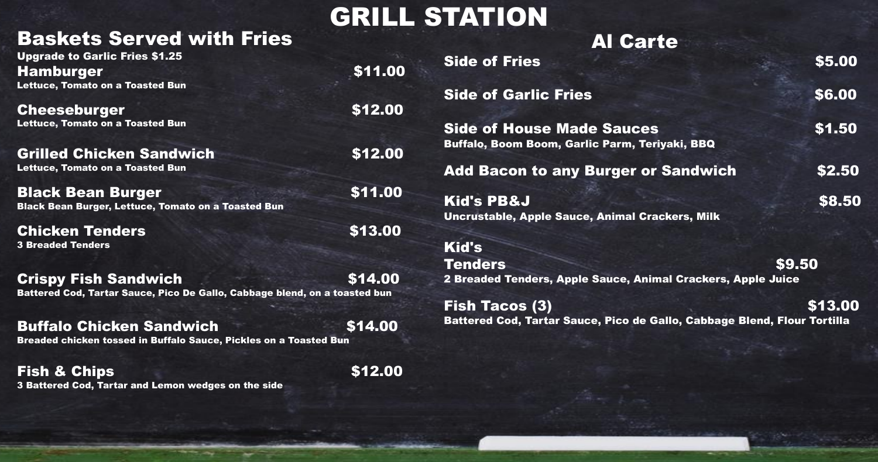## GRILL STATION

## Baskets Served with Fries

| <b>Upgrade to Garlic Fries \$1.25</b>                                      |         | <b>Side of Fries</b>                             |
|----------------------------------------------------------------------------|---------|--------------------------------------------------|
| <b>Hamburger</b>                                                           | \$11.00 |                                                  |
| <b>Lettuce, Tomato on a Toasted Bun</b>                                    |         | <b>Side of Garlic Frie</b>                       |
| <b>Cheeseburger</b>                                                        | \$12.00 |                                                  |
| <b>Lettuce, Tomato on a Toasted Bun</b>                                    |         | <b>Side of House Ma</b>                          |
| <b>Grilled Chicken Sandwich</b>                                            | \$12.00 | <b>Buffalo, Boom Boom, Ga</b>                    |
| <b>Lettuce, Tomato on a Toasted Bun</b>                                    |         | <b>Add Bacon to any</b>                          |
| <b>Black Bean Burger</b>                                                   | \$11.00 |                                                  |
| <b>Black Bean Burger, Lettuce, Tomato on a Toasted Bun</b>                 |         | <b>Kid's PB&amp;J</b>                            |
| <b>Chicken Tenders</b>                                                     | \$13.00 | <b>Uncrustable, Apple Saud</b>                   |
| <b>3 Breaded Tenders</b>                                                   |         | <b>Kid's</b>                                     |
|                                                                            |         |                                                  |
| <b>Crispy Fish Sandwich</b>                                                | \$14.00 | <b>Tenders</b><br><b>2 Breaded Tenders, Appl</b> |
| Battered Cod, Tartar Sauce, Pico De Gallo, Cabbage blend, on a toasted bun |         |                                                  |
|                                                                            |         | <b>Fish Tacos (3)</b>                            |
| <b>Buffalo Chicken Sandwich</b>                                            | \$14.00 | <b>Battered Cod, Tartar Sar</b>                  |
| Breaded chicken tossed in Buffalo Sauce, Pickles on a Toasted Bun          |         |                                                  |
| <b>Fish &amp; Chips</b>                                                    | \$12.00 |                                                  |

3 Battered Cod, Tartar and Lemon wedges on the side

## Al Carte

de Sauces **\$1.50** ırlic Parm, Teriyaki, BBQ

**Burger or Sandwich \$2.50** 

 $\mathfrak{so}$ . Side of Garlie  $\mathfrak{so}.00$  $$8.50$ 

\$5.00

ce, Animal Crackers, Milk

\$9.50 le Sauce, Animal Crackers, Apple Juice

 $$13.00$ uce, Pico de Gallo, Cabbage Blend, Flour Tortilla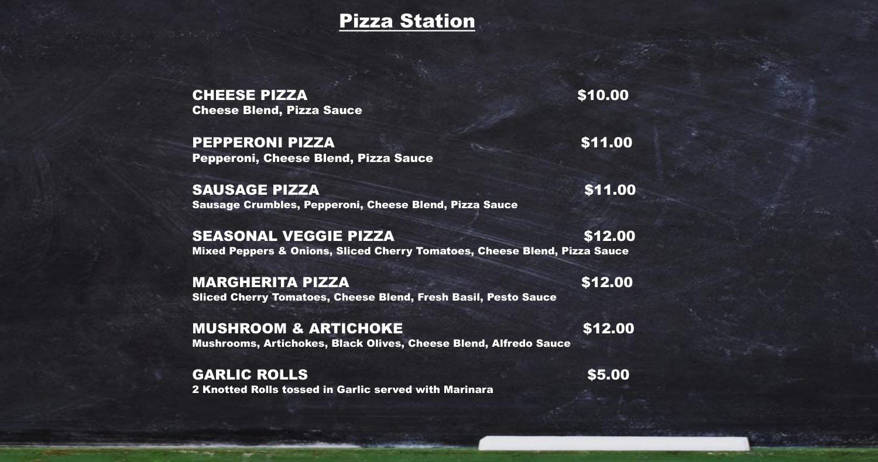### Pizza Station

CHEESE PIZZA \$10.00 Cheese Blend, Pizza Sauce

PEPPERONI PIZZA \$11.00 Pepperoni, Cheese Blend, Pizza Sauce

SAUSAGE PIZZA \$11.00 Sausage Crumbles, Pepperoni, Cheese Blend, Pizza Sauce

MARGHERITA PIZZA \$12.00 Sliced Cherry Tomatoes, Cheese Blend, Fresh Basil, Pesto Sauce

MUSHROOM & ARTICHOKE \$12.00 Mushrooms, Artichokes, Black Olives, Cheese Blend, Alfredo Sauce

SEASONAL VEGGIE PIZZA \$12.00 Mixed Peppers & Onions, Sliced Cherry Tomatoes, Cheese Blend, Pizza Sauce

GARLIC ROLLS \$5.00 2 Knotted Rolls tossed in Garlic served with Marinara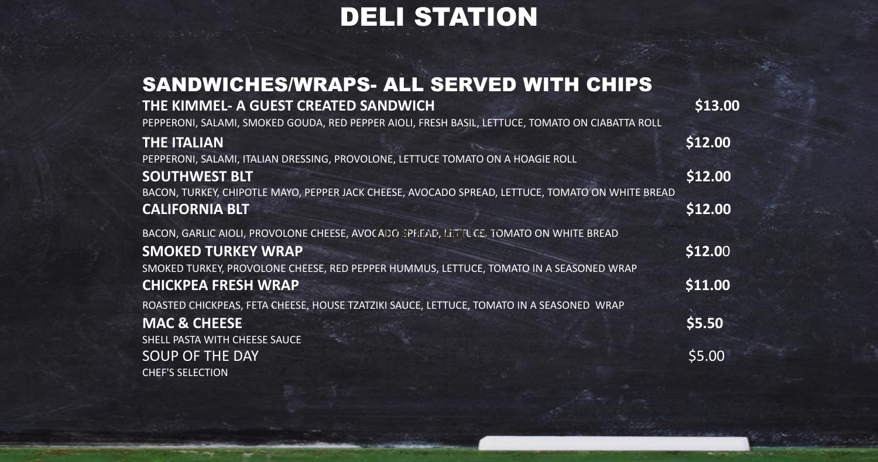## DELI STATION

## SANDWICHES/WRAPS- ALL SERVED WITH **THE KIMMEL- A GUEST CREATED SANDWICH \$13.00**

PEPPERONI, SALAMI, SMOKED GOUDA, RED PEPPER AIOLI, FRESH BASIL, LETTUCE, TOMATO (

### **THE ITALIAN**

BACON, TURKEY, CHIPOTLE MAYO, PEPPER JACK CHEESE, AVOCADO SPREAD, LETTUCE, TOMAT **CALIFORNIA BLT \$12.00**

BACON, GARLIC AIOLI, PROVOLONE CHEESE, AVOCADO SPREAD, LETTUCE, TOMATO ON WHITE BREAD

### **SMOKED TURKEY WRAP**

PEPPERONI, SALAMI, ITALIAN DRESSING, PROVOLONE, LETTUCE TOMATO ON A HOAGIE ROLL

### **SOUTHWEST BLT**

SMOKED TURKEY, PROVOLONE CHEESE, RED PEPPER HUMMUS, LETTUCE, TOMATO IN A SEAS **CHICKPEA FRESH WRAP \$11.00**

ROASTED CHICKPEAS, FETA CHEESE, HOUSE TZATZIKI SAUCE, LETTUCE, TOMATO IN A SEASON **MAC & CHEESE** 

SHELL PASTA WITH CHEESE SAUCE SOUP OF THE DAY CHEF'S SELECTION

| <b>CHIPS</b>            |         |
|-------------------------|---------|
| <b>DN CIABATTA ROLL</b> | \$13.00 |
|                         | \$12.00 |
|                         | \$12.00 |
| TO ON WHITE BREAD       | \$12.00 |
| <b>E BREAD</b>          |         |
| <b>ONED WRAP</b>        | \$12.00 |
|                         | \$11.00 |
| <b>ED WRAP</b>          | \$5.50  |
|                         | \$5.00  |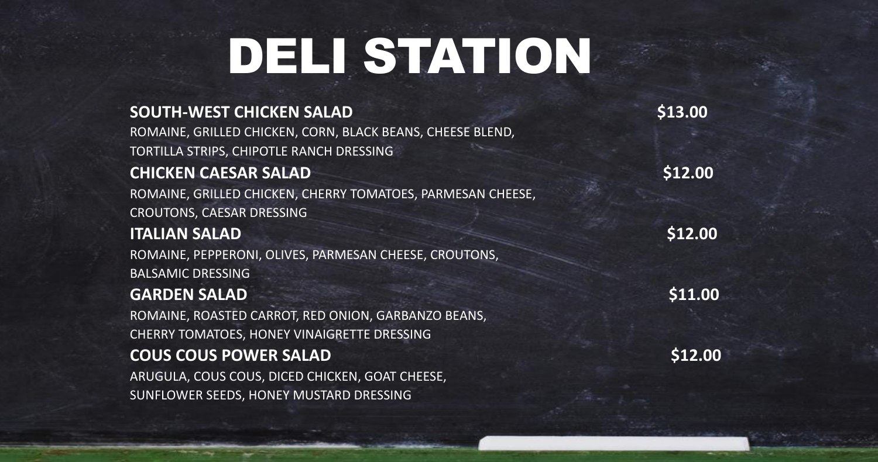# DELI STATION

### **SOUTH-WEST CHICKEN SALAD** \$13.00

ROMAINE, GRILLED CHICKEN, CORN, BLACK BEANS, CHEESE BLEND, TORTILLA STRIPS, CHIPOTLE RANCH DRESSING

### **CHICKEN CAESAR SALAD** \$12.00

ROMAINE, GRILLED CHICKEN, CHERRY TOMATOES, PARMESAN CHEESE, CROUTONS, CAESAR DRESSING

### **ITALIAN SALAD \$12.00**

ROMAINE, PEPPERONI, OLIVES, PARMESAN CHEESE, CROUTONS, BALSAMIC DRESSING

### **GARDEN SALAD** \$11.00

ROMAINE, ROASTED CARROT, RED ONION, GARBANZO BEANS, CHERRY TOMATOES, HONEY VINAIGRETTE DRESSING

### **COUS COUS POWER SALAD** \$12.00

ARUGULA, COUS COUS, DICED CHICKEN, GOAT CHEESE, SUNFLOWER SEEDS, HONEY MUSTARD DRESSING